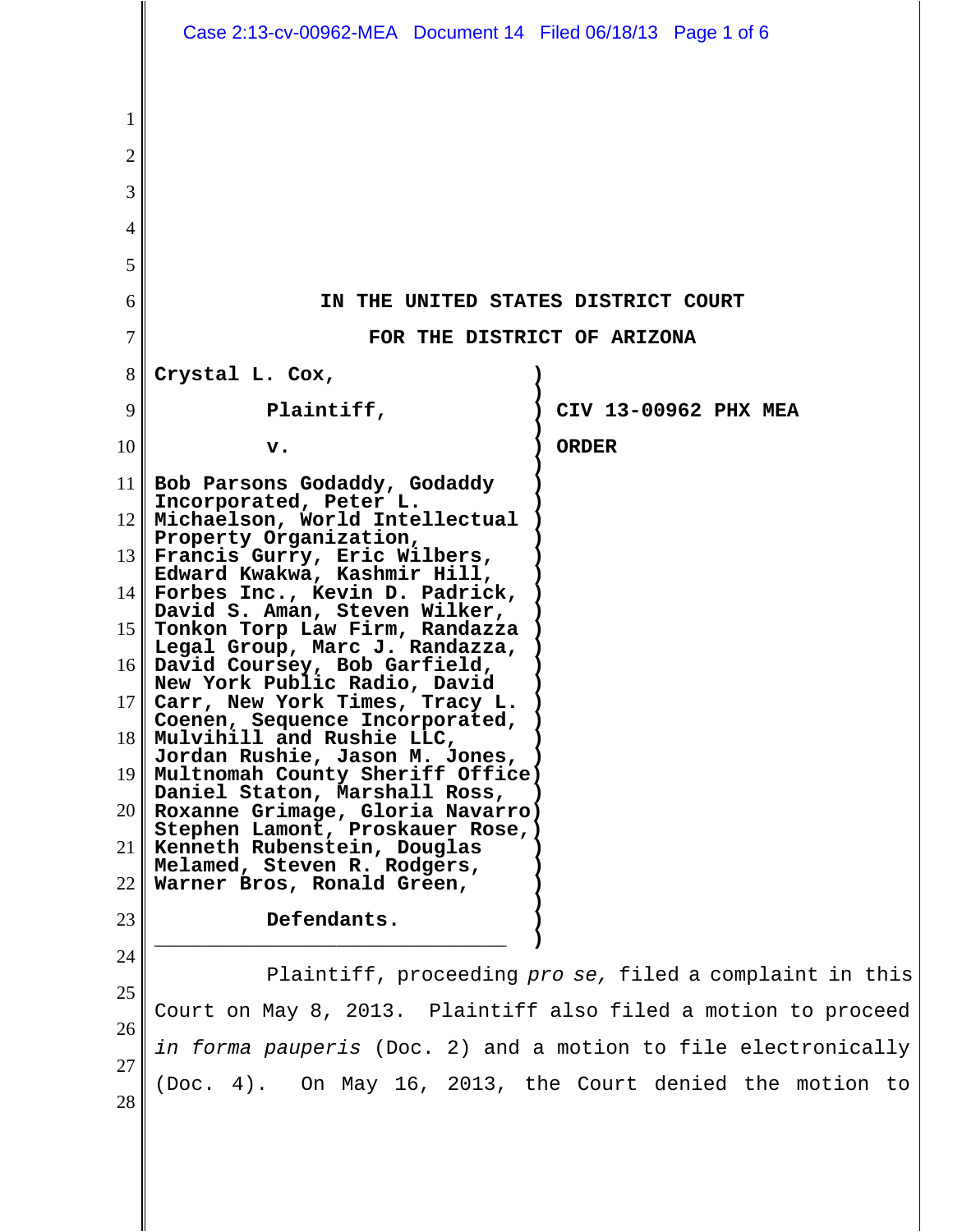|                                                                        | Case 2:13-cv-00962-MEA Document 14 Filed 06/18/13 Page 1 of 6                                                                                                                                                                                                                                                                                                                                                                                                                                                                                                                                                                                                                                                                                                                                                        |                                                         |
|------------------------------------------------------------------------|----------------------------------------------------------------------------------------------------------------------------------------------------------------------------------------------------------------------------------------------------------------------------------------------------------------------------------------------------------------------------------------------------------------------------------------------------------------------------------------------------------------------------------------------------------------------------------------------------------------------------------------------------------------------------------------------------------------------------------------------------------------------------------------------------------------------|---------------------------------------------------------|
| 1<br>$\overline{2}$<br>3<br>$\overline{4}$<br>5<br>6<br>$\overline{7}$ | IN THE UNITED STATES DISTRICT COURT<br>FOR THE DISTRICT OF ARIZONA                                                                                                                                                                                                                                                                                                                                                                                                                                                                                                                                                                                                                                                                                                                                                   |                                                         |
| 8                                                                      | Crystal L. Cox,                                                                                                                                                                                                                                                                                                                                                                                                                                                                                                                                                                                                                                                                                                                                                                                                      |                                                         |
| 9                                                                      | Plaintiff,                                                                                                                                                                                                                                                                                                                                                                                                                                                                                                                                                                                                                                                                                                                                                                                                           | CIV 13-00962 PHX MEA                                    |
| 10                                                                     | v.                                                                                                                                                                                                                                                                                                                                                                                                                                                                                                                                                                                                                                                                                                                                                                                                                   | <b>ORDER</b>                                            |
| 21<br>22                                                               | 11 Bob Parsons Godaddy, Godaddy<br>Incorporated, Peter L.<br>12    Michaelson, World Intellectual<br>Property Organization,<br>$13$ Francis Gurry, Eric Wilbers,<br>Edward Kwakwa, Kashmir Hill,<br>$14$ Forbes Inc., Kevin D. Padrick,<br>David S. Aman, Steven Wilker,<br>15 Tonkon Torp Law Firm, Randazza<br>Legal Group, Marc J. Randazza,<br>16 David Coursey, Bob Garfield,<br>New York Public Radio, David<br>17 Carr, New York Times, Tracy L.<br>Coenen, Sequence Incorporated,<br>$18$ Mulvihill and Rushie LLC,<br>Jordan Rushie, Jason M. Jones,<br>19    Multnomah County Sheriff Office)<br>Daniel Staton, Marshall Ross,<br>$20$   Roxanne Grimage, Gloria Navarro)<br>Stephen Lamont, Proskauer Rose, )<br>Kenneth Rubenstein, Douglas<br>Melamed, Steven R. Rodgers,<br>Warner Bros, Ronald Green, |                                                         |
| 23                                                                     | Defendants.                                                                                                                                                                                                                                                                                                                                                                                                                                                                                                                                                                                                                                                                                                                                                                                                          |                                                         |
| 24<br>25<br>26<br>27                                                   | Court on May 8, 2013. Plaintiff also filed a motion to proceed<br>in forma pauperis (Doc. 2) and a motion to file electronically                                                                                                                                                                                                                                                                                                                                                                                                                                                                                                                                                                                                                                                                                     | Plaintiff, proceeding pro se, filed a complaint in this |
| 28                                                                     | (Doc. 4). On May 16, 2013, the Court denied the motion to                                                                                                                                                                                                                                                                                                                                                                                                                                                                                                                                                                                                                                                                                                                                                            |                                                         |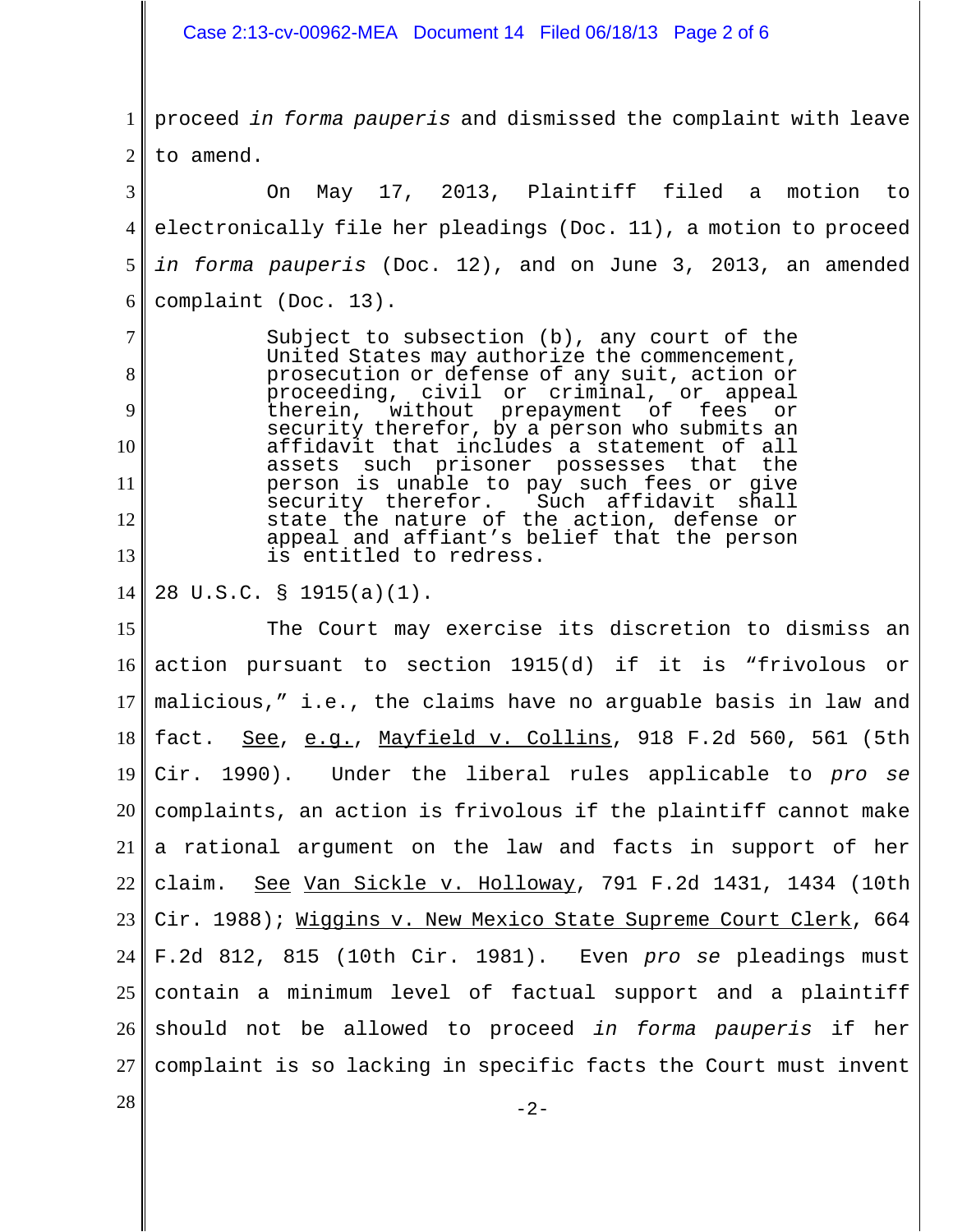Case 2:13-cv-00962-MEA Document 14 Filed 06/18/13 Page 2 of 6

1 2 proceed *in forma pauperis* and dismissed the complaint with leave to amend.

3 4 5 6 On May 17, 2013, Plaintiff filed a motion to electronically file her pleadings (Doc. 11), a motion to proceed *in forma pauperis* (Doc. 12), and on June 3, 2013, an amended complaint (Doc. 13).

Subject to subsection (b), any court of the United States may authorize the commencement, prosecution or defense of any suit, action or proceeding, civil or criminal, or appeal<br>therein, without prepayment of fees or without prepayment security therefor, by a person who submits an affidavit that includes a statement of all such prisoner possesses that the person is unable to pay such fees or give<br>security therefor. Such affidavit shall Such affidavit shall state the nature of the action, defense or appeal and affiant's belief that the person is entitled to redress.

14 28 U.S.C. § 1915(a)(1).

15 16 17 18 19 20 21 22 23 24 25 26 27 The Court may exercise its discretion to dismiss an action pursuant to section 1915(d) if it is "frivolous or malicious," i.e., the claims have no arguable basis in law and fact. See, e.g., Mayfield v. Collins, 918 F.2d 560, 561 (5th Cir. 1990). Under the liberal rules applicable to *pro se* complaints, an action is frivolous if the plaintiff cannot make a rational argument on the law and facts in support of her claim. See Van Sickle v. Holloway, 791 F.2d 1431, 1434 (10th Cir. 1988); Wiggins v. New Mexico State Supreme Court Clerk, 664 F.2d 812, 815 (10th Cir. 1981). Even *pro se* pleadings must contain a minimum level of factual support and a plaintiff should not be allowed to proceed *in forma pauperis* if her complaint is so lacking in specific facts the Court must invent

7

8

9

10

11

12

13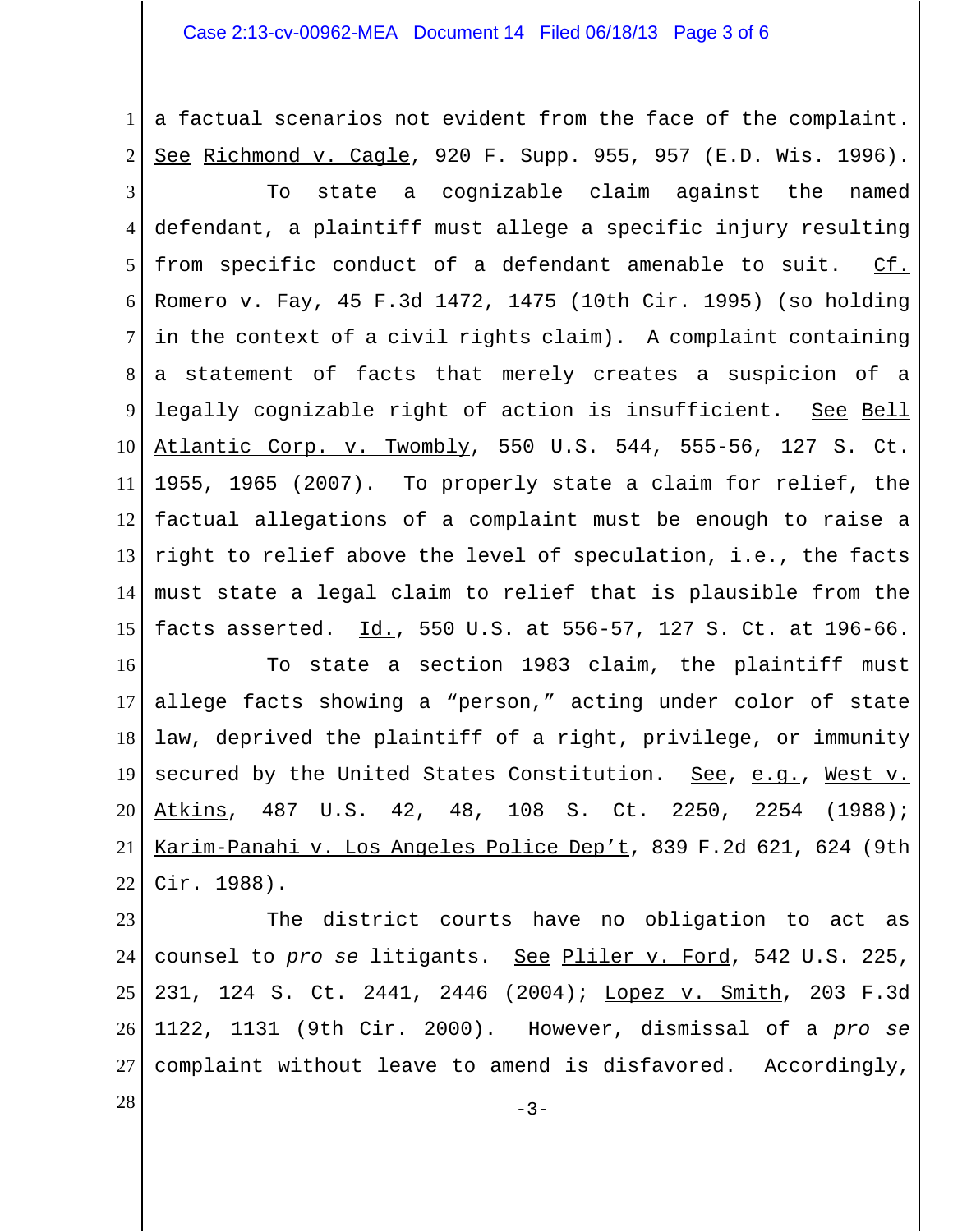## Case 2:13-cv-00962-MEA Document 14 Filed 06/18/13 Page 3 of 6

1 2 3 4 5 6 7 8 9 10 11 12 13 14 15 a factual scenarios not evident from the face of the complaint. See Richmond v. Cagle, 920 F. Supp. 955, 957 (E.D. Wis. 1996). To state a cognizable claim against the named defendant, a plaintiff must allege a specific injury resulting from specific conduct of a defendant amenable to suit. Cf. Romero v. Fay, 45 F.3d 1472, 1475 (10th Cir. 1995) (so holding in the context of a civil rights claim). A complaint containing a statement of facts that merely creates a suspicion of a legally cognizable right of action is insufficient. See Bell Atlantic Corp. v. Twombly, 550 U.S. 544, 555-56, 127 S. Ct. 1955, 1965 (2007). To properly state a claim for relief, the factual allegations of a complaint must be enough to raise a right to relief above the level of speculation, i.e., the facts must state a legal claim to relief that is plausible from the facts asserted. Id., 550 U.S. at 556-57, 127 S. Ct. at 196-66.

16 17 18 19 20 21 22 To state a section 1983 claim, the plaintiff must allege facts showing a "person," acting under color of state law, deprived the plaintiff of a right, privilege, or immunity secured by the United States Constitution. See, e.g., West v. Atkins, 487 U.S. 42, 48, 108 S. Ct. 2250, 2254 (1988); Karim-Panahi v. Los Angeles Police Dep't, 839 F.2d 621, 624 (9th Cir. 1988).

23 24 25 26 27 The district courts have no obligation to act as counsel to *pro se* litigants. See Pliler v. Ford, 542 U.S. 225, 231, 124 S. Ct. 2441, 2446 (2004); Lopez v. Smith, 203 F.3d 1122, 1131 (9th Cir. 2000). However, dismissal of a *pro se* complaint without leave to amend is disfavored. Accordingly,

 $-3-$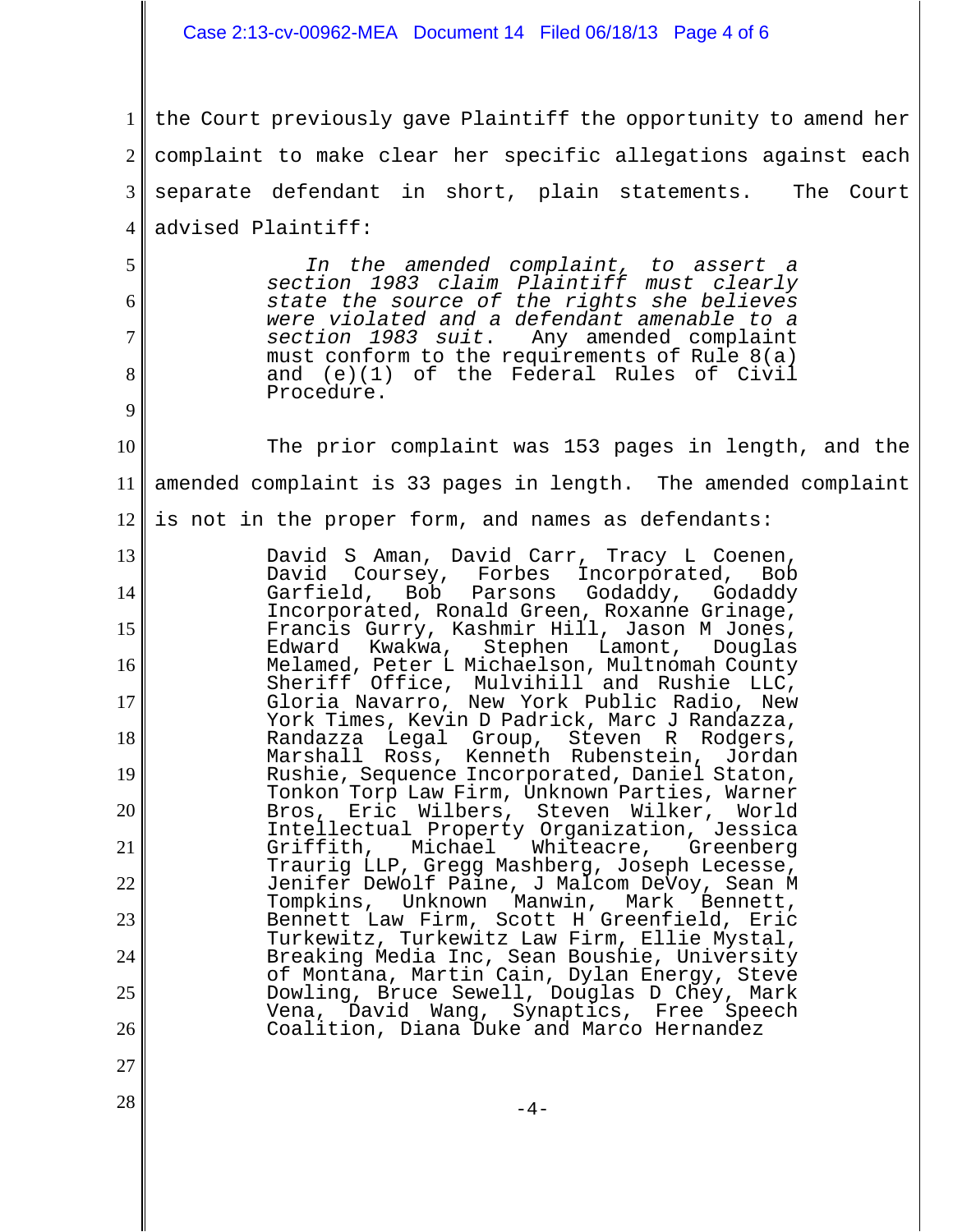## Case 2:13-cv-00962-MEA Document 14 Filed 06/18/13 Page 4 of 6

1 2 3 4 5 6 7 8 9 10 11 12 13 14 15 16 17 18 19 20 21 22 23 24 25 26 27  $-4$ the Court previously gave Plaintiff the opportunity to amend her complaint to make clear her specific allegations against each separate defendant in short, plain statements. The Court advised Plaintiff: *In the amended complaint, to assert a section 1983 claim Plaintiff must clearly state the source of the rights she believes were violated and a defendant amenable to a section 1983 suit*. Any amended complaint must conform to the requirements of Rule 8(a) and (e)(1) of the Federal Rules of Civil Procedure. The prior complaint was 153 pages in length, and the amended complaint is 33 pages in length. The amended complaint is not in the proper form, and names as defendants: David S Aman, David Carr, Tracy L Coenen, David Coursey, Forbes Incorporated, Bob Godaddy, Godaddy Incorporated, Ronald Green, Roxanne Grinage, Francis Gurry, Kashmir Hill, Jason M Jones,<br>Edward Kwakwa, Stephen Lamont, Douglas Edward Kwakwa, Melamed, Peter L Michaelson, Multnomah County Sheriff Office, Mulvihill and Rushie LLC, Gloria Navarro, New York Public Radio, New York Times, Kevin D Padrick, Marc J Randazza, Randazza Legal Group, Steven R Rodgers, Marshall Ross, Kenneth Rubenstein, Jordan Rushie, Sequence Incorporated, Daniel Staton, Tonkon Torp Law Firm, Unknown Parties, Warner Bros, Eric Wilbers, Steven Wilker, World Intellectual Property Organization, Jessica Griffith, Michael Whiteacre, Greenberg Traurig LLP, Gregg Mashberg, Joseph Lecesse, Jenifer DeWolf Paine, J Malcom DeVoy, Sean M Tompkins, Unknown Manwin, Mark Bennett, Bennett Law Firm, Scott H Greenfield, Eric Turkewitz, Turkewitz Law Firm, Ellie Mystal, Breaking Media Inc, Sean Boushie, University of Montana, Martin Cain, Dylan Energy, Steve Dowling, Bruce Sewell, Douglas D Chey, Mark Vena, David Wang, Synaptics, Free Speech Coalition, Diana Duke and Marco Hernandez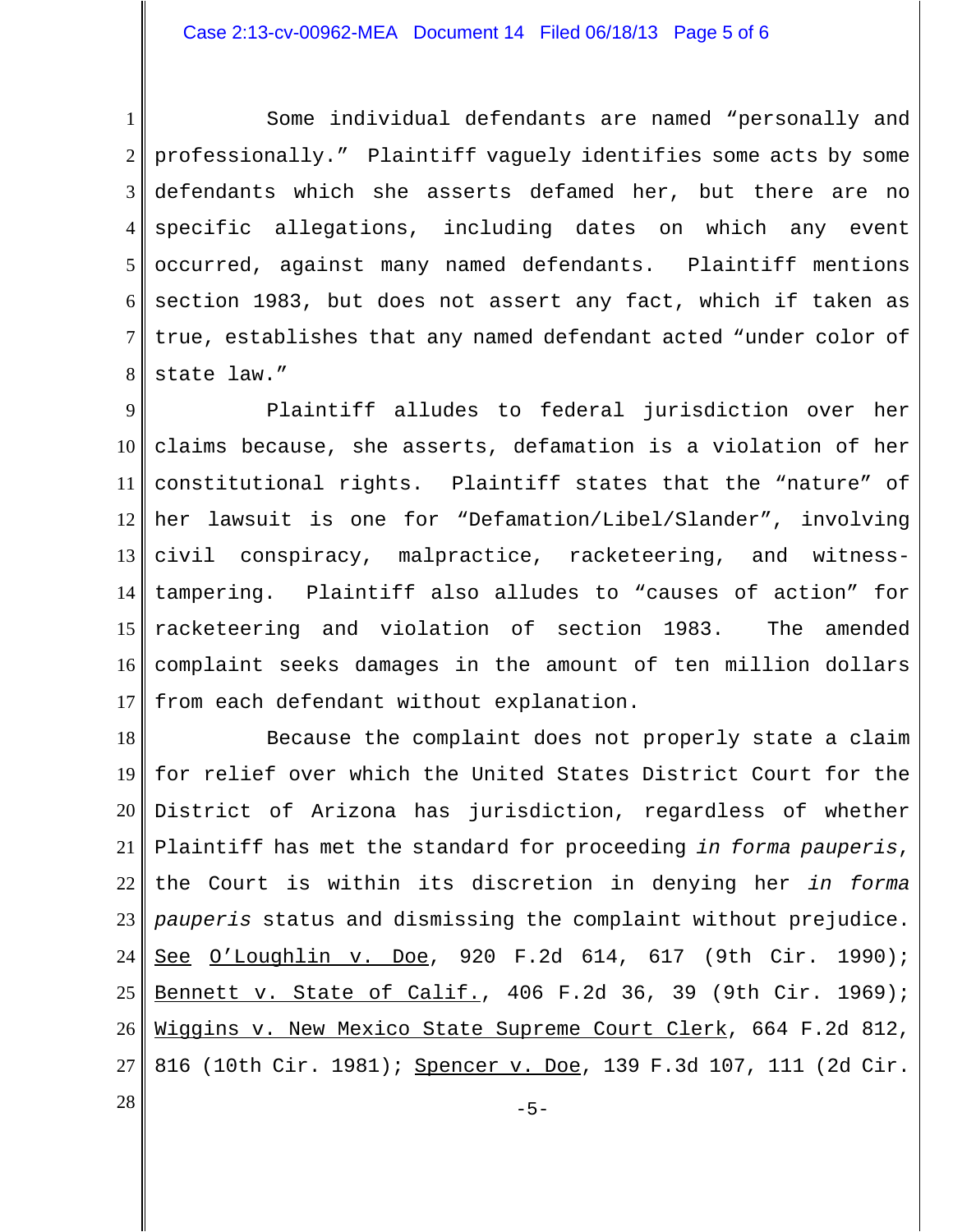## Case 2:13-cv-00962-MEA Document 14 Filed 06/18/13 Page 5 of 6

1 2 3 4 5 6 7 8 Some individual defendants are named "personally and professionally." Plaintiff vaguely identifies some acts by some defendants which she asserts defamed her, but there are no specific allegations, including dates on which any event occurred, against many named defendants. Plaintiff mentions section 1983, but does not assert any fact, which if taken as true, establishes that any named defendant acted "under color of state law."

9 10 11 12 13 14 15 16 17 Plaintiff alludes to federal jurisdiction over her claims because, she asserts, defamation is a violation of her constitutional rights. Plaintiff states that the "nature" of her lawsuit is one for "Defamation/Libel/Slander", involving civil conspiracy, malpractice, racketeering, and witnesstampering. Plaintiff also alludes to "causes of action" for racketeering and violation of section 1983. The amended complaint seeks damages in the amount of ten million dollars from each defendant without explanation.

18 19 20 21 22 23 24 25 26 27 Because the complaint does not properly state a claim for relief over which the United States District Court for the District of Arizona has jurisdiction, regardless of whether Plaintiff has met the standard for proceeding *in forma pauperis*, the Court is within its discretion in denying her *in forma pauperis* status and dismissing the complaint without prejudice. See O'Loughlin v. Doe, 920 F.2d 614, 617 (9th Cir. 1990); Bennett v. State of Calif., 406 F.2d 36, 39 (9th Cir. 1969); Wiggins v. New Mexico State Supreme Court Clerk, 664 F.2d 812, 816 (10th Cir. 1981); Spencer v. Doe, 139 F.3d 107, 111 (2d Cir.

 $-5-$